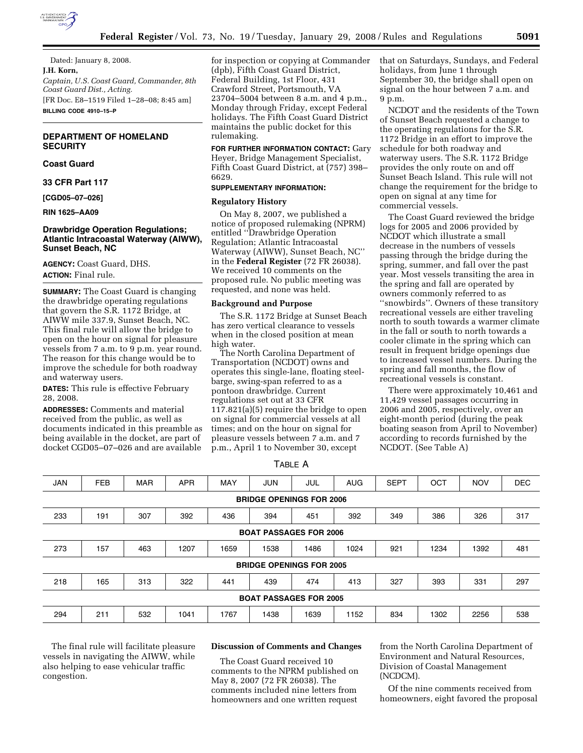

Dated: January 8, 2008. **J.H. Korn,**  *Captain, U.S. Coast Guard, Commander, 8th Coast Guard Dist., Acting.*  [FR Doc. E8–1519 Filed 1–28–08; 8:45 am] **BILLING CODE 4910–15–P** 

# **DEPARTMENT OF HOMELAND SECURITY**

# **Coast Guard**

**33 CFR Part 117** 

**[CGD05–07–026]** 

### **RIN 1625–AA09**

# **Drawbridge Operation Regulations; Atlantic Intracoastal Waterway (AIWW), Sunset Beach, NC**

**AGENCY:** Coast Guard, DHS. **ACTION:** Final rule.

**SUMMARY:** The Coast Guard is changing the drawbridge operating regulations that govern the S.R. 1172 Bridge, at AIWW mile 337.9, Sunset Beach, NC. This final rule will allow the bridge to open on the hour on signal for pleasure vessels from 7 a.m. to 9 p.m. year round. The reason for this change would be to improve the schedule for both roadway and waterway users.

**DATES:** This rule is effective February 28, 2008.

**ADDRESSES:** Comments and material received from the public, as well as documents indicated in this preamble as being available in the docket, are part of docket CGD05–07–026 and are available

for inspection or copying at Commander (dpb), Fifth Coast Guard District, Federal Building, 1st Floor, 431 Crawford Street, Portsmouth, VA 23704–5004 between 8 a.m. and 4 p.m., Monday through Friday, except Federal holidays. The Fifth Coast Guard District maintains the public docket for this rulemaking.

**FOR FURTHER INFORMATION CONTACT:** Gary Heyer, Bridge Management Specialist, Fifth Coast Guard District, at (757) 398– 6629.

# **SUPPLEMENTARY INFORMATION:**

# **Regulatory History**

On May 8, 2007, we published a notice of proposed rulemaking (NPRM) entitled ''Drawbridge Operation Regulation; Atlantic Intracoastal Waterway (AIWW), Sunset Beach, NC'' in the **Federal Register** (72 FR 26038). We received 10 comments on the proposed rule. No public meeting was requested, and none was held.

#### **Background and Purpose**

The S.R. 1172 Bridge at Sunset Beach has zero vertical clearance to vessels when in the closed position at mean high water.

The North Carolina Department of Transportation (NCDOT) owns and operates this single-lane, floating steelbarge, swing-span referred to as a pontoon drawbridge. Current regulations set out at 33 CFR 117.821(a)(5) require the bridge to open on signal for commercial vessels at all times; and on the hour on signal for pleasure vessels between 7 a.m. and 7 p.m., April 1 to November 30, except

that on Saturdays, Sundays, and Federal holidays, from June 1 through September 30, the bridge shall open on signal on the hour between 7 a.m. and 9 p.m.

NCDOT and the residents of the Town of Sunset Beach requested a change to the operating regulations for the S.R. 1172 Bridge in an effort to improve the schedule for both roadway and waterway users. The S.R. 1172 Bridge provides the only route on and off Sunset Beach Island. This rule will not change the requirement for the bridge to open on signal at any time for commercial vessels.

The Coast Guard reviewed the bridge logs for 2005 and 2006 provided by NCDOT which illustrate a small decrease in the numbers of vessels passing through the bridge during the spring, summer, and fall over the past year. Most vessels transiting the area in the spring and fall are operated by owners commonly referred to as ''snowbirds''. Owners of these transitory recreational vessels are either traveling north to south towards a warmer climate in the fall or south to north towards a cooler climate in the spring which can result in frequent bridge openings due to increased vessel numbers. During the spring and fall months, the flow of recreational vessels is constant.

There were approximately 10,461 and 11,429 vessel passages occurring in 2006 and 2005, respectively, over an eight-month period (during the peak boating season from April to November) according to records furnished by the NCDOT. (See Table A)

TABLE A

| <b>JAN</b>                      | <b>FEB</b> | <b>MAR</b> | <b>APR</b> | MAY  | <b>JUN</b> | JUL  | <b>AUG</b> | <b>SEPT</b> | OCT  | <b>NOV</b> | <b>DEC</b> |
|---------------------------------|------------|------------|------------|------|------------|------|------------|-------------|------|------------|------------|
| <b>BRIDGE OPENINGS FOR 2006</b> |            |            |            |      |            |      |            |             |      |            |            |
| 233                             | 191        | 307        | 392        | 436  | 394        | 451  | 392        | 349         | 386  | 326        | 317        |
| <b>BOAT PASSAGES FOR 2006</b>   |            |            |            |      |            |      |            |             |      |            |            |
| 273                             | 157        | 463        | 1207       | 1659 | 1538       | 1486 | 1024       | 921         | 1234 | 1392       | 481        |
| <b>BRIDGE OPENINGS FOR 2005</b> |            |            |            |      |            |      |            |             |      |            |            |
| 218                             | 165        | 313        | 322        | 441  | 439        | 474  | 413        | 327         | 393  | 331        | 297        |
| <b>BOAT PASSAGES FOR 2005</b>   |            |            |            |      |            |      |            |             |      |            |            |
| 294                             | 211        | 532        | 1041       | 1767 | 1438       | 1639 | 1152       | 834         | 1302 | 2256       | 538        |

The final rule will facilitate pleasure vessels in navigating the AIWW, while also helping to ease vehicular traffic congestion.

## **Discussion of Comments and Changes**

The Coast Guard received 10 comments to the NPRM published on May 8, 2007 (72 FR 26038). The comments included nine letters from homeowners and one written request

from the North Carolina Department of Environment and Natural Resources, Division of Coastal Management (NCDCM).

Of the nine comments received from homeowners, eight favored the proposal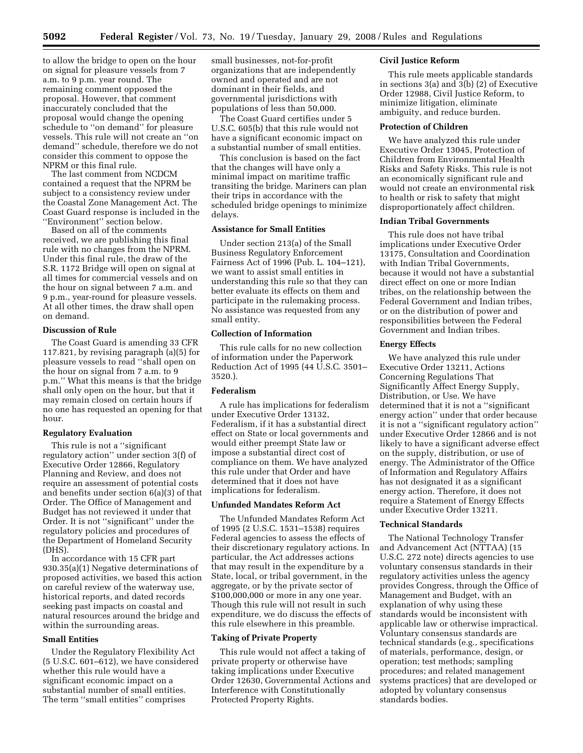to allow the bridge to open on the hour on signal for pleasure vessels from 7 a.m. to 9 p.m. year round. The remaining comment opposed the proposal. However, that comment inaccurately concluded that the proposal would change the opening schedule to ''on demand'' for pleasure vessels. This rule will not create an ''on demand'' schedule, therefore we do not consider this comment to oppose the NPRM or this final rule.

The last comment from NCDCM contained a request that the NPRM be subject to a consistency review under the Coastal Zone Management Act. The Coast Guard response is included in the ''Environment'' section below.

Based on all of the comments received, we are publishing this final rule with no changes from the NPRM. Under this final rule, the draw of the S.R. 1172 Bridge will open on signal at all times for commercial vessels and on the hour on signal between 7 a.m. and 9 p.m., year-round for pleasure vessels. At all other times, the draw shall open on demand.

### **Discussion of Rule**

The Coast Guard is amending 33 CFR 117.821, by revising paragraph (a)(5) for pleasure vessels to read ''shall open on the hour on signal from 7 a.m. to 9 p.m.'' What this means is that the bridge shall only open on the hour, but that it may remain closed on certain hours if no one has requested an opening for that hour.

#### **Regulatory Evaluation**

This rule is not a ''significant regulatory action'' under section 3(f) of Executive Order 12866, Regulatory Planning and Review, and does not require an assessment of potential costs and benefits under section 6(a)(3) of that Order. The Office of Management and Budget has not reviewed it under that Order. It is not ''significant'' under the regulatory policies and procedures of the Department of Homeland Security (DHS).

In accordance with 15 CFR part 930.35(a)(1) Negative determinations of proposed activities, we based this action on careful review of the waterway use, historical reports, and dated records seeking past impacts on coastal and natural resources around the bridge and within the surrounding areas.

### **Small Entities**

Under the Regulatory Flexibility Act (5 U.S.C. 601–612), we have considered whether this rule would have a significant economic impact on a substantial number of small entities. The term ''small entities'' comprises

small businesses, not-for-profit organizations that are independently owned and operated and are not dominant in their fields, and governmental jurisdictions with populations of less than 50,000.

The Coast Guard certifies under 5 U.S.C. 605(b) that this rule would not have a significant economic impact on a substantial number of small entities.

This conclusion is based on the fact that the changes will have only a minimal impact on maritime traffic transiting the bridge. Mariners can plan their trips in accordance with the scheduled bridge openings to minimize delays.

# **Assistance for Small Entities**

Under section 213(a) of the Small Business Regulatory Enforcement Fairness Act of 1996 (Pub. L. 104–121), we want to assist small entities in understanding this rule so that they can better evaluate its effects on them and participate in the rulemaking process. No assistance was requested from any small entity.

## **Collection of Information**

This rule calls for no new collection of information under the Paperwork Reduction Act of 1995 (44 U.S.C. 3501– 3520.).

## **Federalism**

A rule has implications for federalism under Executive Order 13132, Federalism, if it has a substantial direct effect on State or local governments and would either preempt State law or impose a substantial direct cost of compliance on them. We have analyzed this rule under that Order and have determined that it does not have implications for federalism.

## **Unfunded Mandates Reform Act**

The Unfunded Mandates Reform Act of 1995 (2 U.S.C. 1531–1538) requires Federal agencies to assess the effects of their discretionary regulatory actions. In particular, the Act addresses actions that may result in the expenditure by a State, local, or tribal government, in the aggregate, or by the private sector of \$100,000,000 or more in any one year. Though this rule will not result in such expenditure, we do discuss the effects of this rule elsewhere in this preamble.

#### **Taking of Private Property**

This rule would not affect a taking of private property or otherwise have taking implications under Executive Order 12630, Governmental Actions and Interference with Constitutionally Protected Property Rights.

#### **Civil Justice Reform**

This rule meets applicable standards in sections 3(a) and 3(b) (2) of Executive Order 12988, Civil Justice Reform, to minimize litigation, eliminate ambiguity, and reduce burden.

#### **Protection of Children**

We have analyzed this rule under Executive Order 13045, Protection of Children from Environmental Health Risks and Safety Risks. This rule is not an economically significant rule and would not create an environmental risk to health or risk to safety that might disproportionately affect children.

### **Indian Tribal Governments**

This rule does not have tribal implications under Executive Order 13175, Consultation and Coordination with Indian Tribal Governments, because it would not have a substantial direct effect on one or more Indian tribes, on the relationship between the Federal Government and Indian tribes, or on the distribution of power and responsibilities between the Federal Government and Indian tribes.

## **Energy Effects**

We have analyzed this rule under Executive Order 13211, Actions Concerning Regulations That Significantly Affect Energy Supply, Distribution, or Use. We have determined that it is not a ''significant energy action'' under that order because it is not a ''significant regulatory action'' under Executive Order 12866 and is not likely to have a significant adverse effect on the supply, distribution, or use of energy. The Administrator of the Office of Information and Regulatory Affairs has not designated it as a significant energy action. Therefore, it does not require a Statement of Energy Effects under Executive Order 13211.

#### **Technical Standards**

The National Technology Transfer and Advancement Act (NTTAA) (15 U.S.C. 272 note) directs agencies to use voluntary consensus standards in their regulatory activities unless the agency provides Congress, through the Office of Management and Budget, with an explanation of why using these standards would be inconsistent with applicable law or otherwise impractical. Voluntary consensus standards are technical standards (e.g., specifications of materials, performance, design, or operation; test methods; sampling procedures; and related management systems practices) that are developed or adopted by voluntary consensus standards bodies.